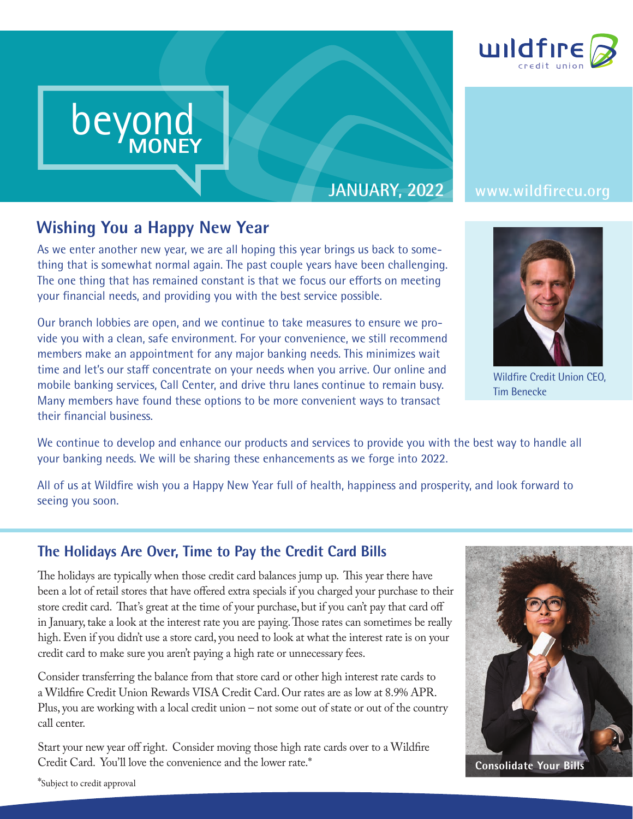

# **JANUARY, 2022 www.wildfirecu.org**

beyond

**MONEY**

beyond beyond

MONEY

beyond MONEY

**Wishing You a Happy New Year**<br>As we enter another new year, we are all hopin<br>thing that is somewhat normal again. The past As we enter another new year, we are all hoping this year brings us back to something that is somewhat normal again. The past couple years have been challenging. The one thing that has remained constant is that we focus our efforts on meeting your financial needs, and providing you with the best service possible.

Our branch lobbies are open, and we continue to take measures to ensure we provide you with a clean, safe environment. For your convenience, we still recommend members make an appointment for any major banking needs. This minimizes wait time and let's our staff concentrate on your needs when you arrive. Our online and mobile banking services, Call Center, and drive thru lanes continue to remain busy. Many members have found these options to be more convenient ways to transact their financial business.

We continue to develop and enhance our products and services to provide you with the best way to handle all your banking needs. We will be sharing these enhancements as we forge into 2022.

All of us at Wildfire wish you a Happy New Year full of health, happiness and prosperity, and look forward to seeing you soon.

# **The Holidays Are Over, Time to Pay the Credit Card Bills**

The holidays are typically when those credit card balances jump up. This year there have been a lot of retail stores that have offered extra specials if you charged your purchase to their store credit card. That's great at the time of your purchase, but if you can't pay that card off in January, take a look at the interest rate you are paying. Those rates can sometimes be really high. Even if you didn't use a store card, you need to look at what the interest rate is on your credit card to make sure you aren't paying a high rate or unnecessary fees.

Consider transferring the balance from that store card or other high interest rate cards to a Wildfire Credit Union Rewards VISA Credit Card. Our rates are as low at 8.9% APR. Plus, you are working with a local credit union – not some out of state or out of the country call center.

Start your new year off right. Consider moving those high rate cards over to a Wildfire Credit Card. You'll love the convenience and the lower rate.\*



**Consolidate Your Bills**





Wildfire Credit Union CEO, Tim Benecke

\*Subject to credit approval